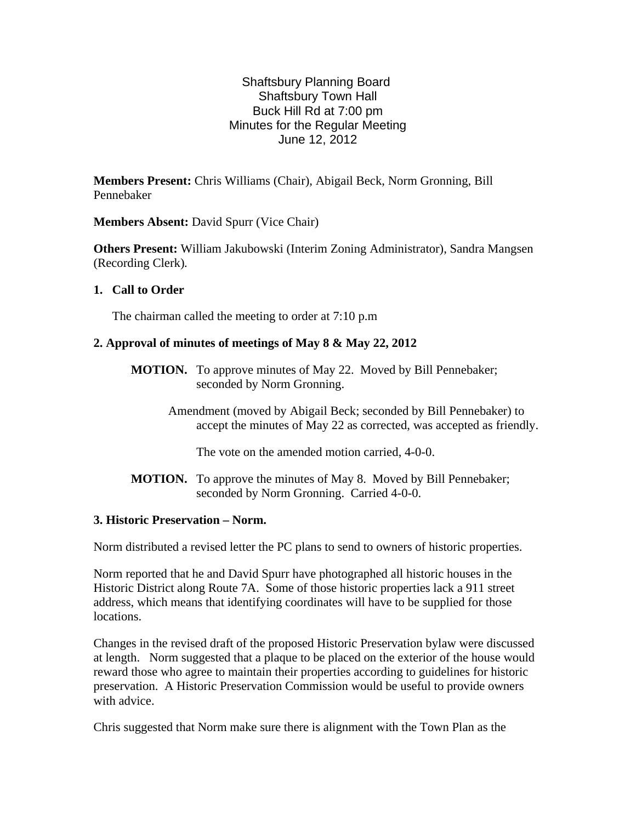# Shaftsbury Planning Board Shaftsbury Town Hall Buck Hill Rd at 7:00 pm Minutes for the Regular Meeting June 12, 2012

**Members Present:** Chris Williams (Chair), Abigail Beck, Norm Gronning, Bill Pennebaker

**Members Absent:** David Spurr (Vice Chair)

**Others Present:** William Jakubowski (Interim Zoning Administrator), Sandra Mangsen (Recording Clerk)*.*

**1. Call to Order**

The chairman called the meeting to order at 7:10 p.m

## **2. Approval of minutes of meetings of May 8 & May 22, 2012**

- **MOTION.** To approve minutes of May 22. Moved by Bill Pennebaker; seconded by Norm Gronning.
	- Amendment (moved by Abigail Beck; seconded by Bill Pennebaker) to accept the minutes of May 22 as corrected, was accepted as friendly.

The vote on the amended motion carried, 4-0-0.

**MOTION.** To approve the minutes of May 8. Moved by Bill Pennebaker; seconded by Norm Gronning. Carried 4-0-0.

### **3. Historic Preservation – Norm.**

Norm distributed a revised letter the PC plans to send to owners of historic properties.

Norm reported that he and David Spurr have photographed all historic houses in the Historic District along Route 7A. Some of those historic properties lack a 911 street address, which means that identifying coordinates will have to be supplied for those locations.

Changes in the revised draft of the proposed Historic Preservation bylaw were discussed at length. Norm suggested that a plaque to be placed on the exterior of the house would reward those who agree to maintain their properties according to guidelines for historic preservation. A Historic Preservation Commission would be useful to provide owners with advice.

Chris suggested that Norm make sure there is alignment with the Town Plan as the